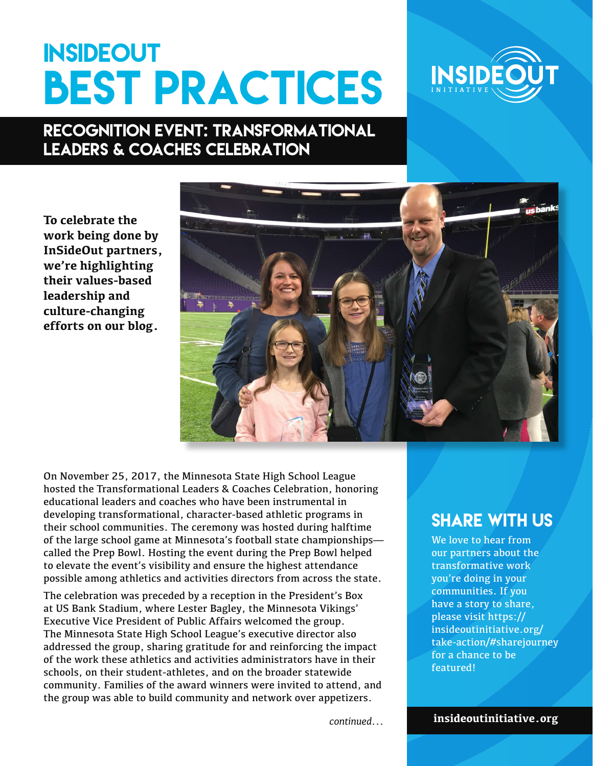## **INSIDEOUT BEST PRACTICES**



## Recognition Event: Transformational Leaders & Coaches Celebration

**To celebrate the work being done by InSideOut partners, we're highlighting their values-based leadership and culture-changing efforts on our blog.** 



On November 25, 2017, the Minnesota State High School League hosted the Transformational Leaders & Coaches Celebration, honoring educational leaders and coaches who have been instrumental in developing transformational, character-based athletic programs in their school communities. The ceremony was hosted during halftime of the large school game at Minnesota's football state championships called the Prep Bowl. Hosting the event during the Prep Bowl helped to elevate the event's visibility and ensure the highest attendance possible among athletics and activities directors from across the state.

The celebration was preceded by a reception in the President's Box at US Bank Stadium, where Lester Bagley, the Minnesota Vikings' Executive Vice President of Public Affairs welcomed the group. The Minnesota State High School League's executive director also addressed the group, sharing gratitude for and reinforcing the impact of the work these athletics and activities administrators have in their schools, on their student-athletes, and on the broader statewide community. Families of the award winners were invited to attend, and the group was able to build community and network over appetizers.

## **SHARE WITH US**

We love to hear from our partners about the transformative work you're doing in your communities. If you have a story to share, please visit https:// insideoutinitiative.org/ take-action/#sharejourney for a chance to be featured!

*continued...*